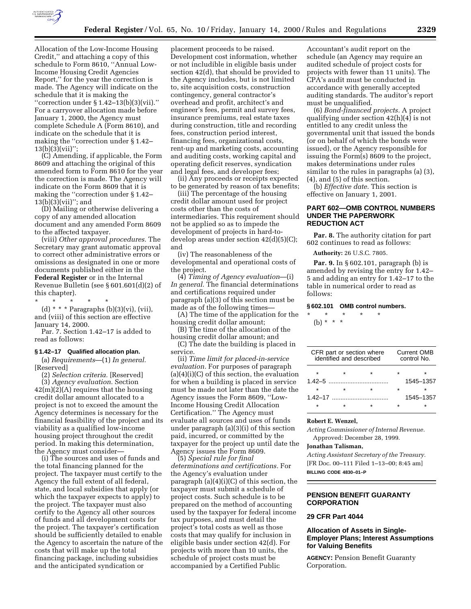

Allocation of the Low-Income Housing Credit,'' and attaching a copy of this schedule to Form 8610, ''Annual Low-Income Housing Credit Agencies Report,'' for the year the correction is made. The Agency will indicate on the schedule that it is making the ''correction under § 1.42–13(b)(3)(vii).'' For a carryover allocation made before January 1, 2000, the Agency must complete Schedule A (Form 8610), and indicate on the schedule that it is making the ''correction under § 1.42– 13(b)(3)(vii)'';

(C) Amending, if applicable, the Form 8609 and attaching the original of this amended form to Form 8610 for the year the correction is made. The Agency will indicate on the Form 8609 that it is making the ''correction under § 1.42– 13(b)(3)(vii)''; and

(D) Mailing or otherwise delivering a copy of any amended allocation document and any amended Form 8609 to the affected taxpayer.

(viii) *Other approval procedures.* The Secretary may grant automatic approval to correct other administrative errors or omissions as designated in one or more documents published either in the **Federal Register** or in the Internal Revenue Bulletin (see § 601.601(d)(2) of this chapter).

\* \* \* \* \*

(d) \* \* \* Paragraphs (b)(3)(vi), (vii), and (viii) of this section are effective January 14, 2000.

Par. 7. Section 1.42–17 is added to read as follows:

### **§ 1.42–17 Qualified allocation plan.**

(a) *Requirements*—(1) *In general.* [Reserved]

(2) *Selection criteria.* [Reserved] (3) *Agency evaluation.* Section  $42(m)(2)(A)$  requires that the housing credit dollar amount allocated to a project is not to exceed the amount the Agency determines is necessary for the financial feasibility of the project and its viability as a qualified low-income housing project throughout the credit period. In making this determination, the Agency must consider—

(i) The sources and uses of funds and the total financing planned for the project. The taxpayer must certify to the Agency the full extent of all federal, state, and local subsidies that apply (or which the taxpayer expects to apply) to the project. The taxpayer must also certify to the Agency all other sources of funds and all development costs for the project. The taxpayer's certification should be sufficiently detailed to enable the Agency to ascertain the nature of the costs that will make up the total financing package, including subsidies and the anticipated syndication or

placement proceeds to be raised. Development cost information, whether or not includible in eligible basis under section 42(d), that should be provided to the Agency includes, but is not limited to, site acquisition costs, construction contingency, general contractor's overhead and profit, architect's and engineer's fees, permit and survey fees, insurance premiums, real estate taxes during construction, title and recording fees, construction period interest, financing fees, organizational costs, rent-up and marketing costs, accounting and auditing costs, working capital and operating deficit reserves, syndication and legal fees, and developer fees;

(ii) Any proceeds or receipts expected to be generated by reason of tax benefits;

(iii) The percentage of the housing credit dollar amount used for project costs other than the costs of intermediaries. This requirement should not be applied so as to impede the development of projects in hard-todevelop areas under section 42(d)(5)(C); and

(iv) The reasonableness of the developmental and operational costs of the project.

(4) *Timing of Agency evaluation*—(i) *In general.* The financial determinations and certifications required under paragraph (a)(3) of this section must be made as of the following times—

(A) The time of the application for the housing credit dollar amount;

(B) The time of the allocation of the housing credit dollar amount; and

(C) The date the building is placed in service.

(ii) *Time limit for placed-in-service evaluation.* For purposes of paragraph  $(a)(4)(i)(C)$  of this section, the evaluation for when a building is placed in service must be made not later than the date the Agency issues the Form 8609, ''Low-Income Housing Credit Allocation Certification.'' The Agency must evaluate all sources and uses of funds under paragraph (a)(3)(i) of this section paid, incurred, or committed by the taxpayer for the project up until date the Agency issues the Form 8609.

(5) *Special rule for final determinations and certifications.* For the Agency's evaluation under paragraph (a)(4)(i)(C) of this section, the taxpayer must submit a schedule of project costs. Such schedule is to be prepared on the method of accounting used by the taxpayer for federal income tax purposes, and must detail the project's total costs as well as those costs that may qualify for inclusion in eligible basis under section 42(d). For projects with more than 10 units, the schedule of project costs must be accompanied by a Certified Public

Accountant's audit report on the schedule (an Agency may require an audited schedule of project costs for projects with fewer than 11 units). The CPA's audit must be conducted in accordance with generally accepted auditing standards. The auditor's report must be unqualified.

(6) *Bond-financed projects.* A project qualifying under section 42(h)(4) is not entitled to any credit unless the governmental unit that issued the bonds (or on behalf of which the bonds were issued), or the Agency responsible for issuing the Form(s) 8609 to the project, makes determinations under rules similar to the rules in paragraphs (a) (3), (4), and (5) of this section.

(b) *Effective date.* This section is effective on January 1, 2001.

## **PART 602—OMB CONTROL NUMBERS UNDER THE PAPERWORK REDUCTION ACT**

**Par. 8.** The authority citation for part 602 continues to read as follows:

**Authority:** 26 U.S.C. 7805.

**Par. 9.** In § 602.101, paragraph (b) is amended by revising the entry for 1.42– 5 and adding an entry for 1.42–17 to the table in numerical order to read as follows:

### **§ 602.101 OMB control numbers.**

\* \* \* \* \* (b) \* \* \*

|         | CFR part or section where<br>identified and described | <b>Current OMB</b><br>control No. |         |           |  |  |
|---------|-------------------------------------------------------|-----------------------------------|---------|-----------|--|--|
| $\star$ |                                                       |                                   |         | ÷         |  |  |
|         |                                                       |                                   |         | 1545-1357 |  |  |
| $\star$ |                                                       |                                   | $\star$ | ÷         |  |  |
|         |                                                       | 1.42–17                           |         | 1545-1357 |  |  |
|         |                                                       |                                   |         |           |  |  |
|         |                                                       |                                   |         |           |  |  |

### **Robert E. Wenzel,**

*Acting Commissioner of Internal Revenue.* Approved: December 28, 1999.

#### **Jonathan Talisman,**

*Acting Assistant Secretary of the Treasury.* [FR Doc. 00–111 Filed 1–13–00; 8:45 am] **BILLING CODE 4830–01–P**

## **PENSION BENEFIT GUARANTY CORPORATION**

# **29 CFR Part 4044**

## **Allocation of Assets in Single-Employer Plans; Interest Assumptions for Valuing Benefits**

**AGENCY:** Pension Benefit Guaranty Corporation.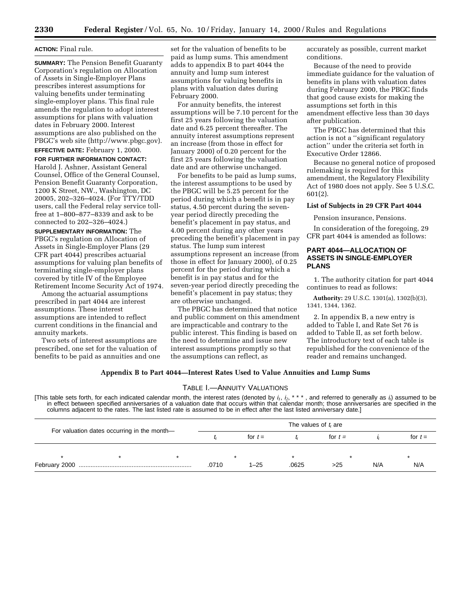### **ACTION:** Final rule.

**SUMMARY:** The Pension Benefit Guaranty Corporation's regulation on Allocation of Assets in Single-Employer Plans prescribes interest assumptions for valuing benefits under terminating single-employer plans. This final rule amends the regulation to adopt interest assumptions for plans with valuation dates in February 2000. Interest assumptions are also published on the PBGC's web site (http://www.pbgc.gov).

**EFFECTIVE DATE:** February 1, 2000.

**FOR FURTHER INFORMATION CONTACT:** Harold J. Ashner, Assistant General Counsel, Office of the General Counsel, Pension Benefit Guaranty Corporation, 1200 K Street, NW., Washington, DC 20005, 202–326–4024. (For TTY/TDD users, call the Federal relay service tollfree at 1–800–877–8339 and ask to be connected to 202–326–4024.)

**SUPPLEMENTARY INFORMATION:** The PBGC's regulation on Allocation of Assets in Single-Employer Plans (29 CFR part 4044) prescribes actuarial assumptions for valuing plan benefits of terminating single-employer plans covered by title IV of the Employee Retirement Income Security Act of 1974.

Among the actuarial assumptions prescribed in part 4044 are interest assumptions. These interest assumptions are intended to reflect current conditions in the financial and annuity markets.

Two sets of interest assumptions are prescribed, one set for the valuation of benefits to be paid as annuities and one set for the valuation of benefits to be paid as lump sums. This amendment adds to appendix B to part 4044 the annuity and lump sum interest assumptions for valuing benefits in plans with valuation dates during February 2000.

For annuity benefits, the interest assumptions will be 7.10 percent for the first 25 years following the valuation date and 6.25 percent thereafter. The annuity interest assumptions represent an increase (from those in effect for January 2000) of 0.20 percent for the first 25 years following the valuation date and are otherwise unchanged.

For benefits to be paid as lump sums, the interest assumptions to be used by the PBGC will be 5.25 percent for the period during which a benefit is in pay status, 4.50 percent during the sevenyear period directly preceding the benefit's placement in pay status, and 4.00 percent during any other years preceding the benefit's placement in pay status. The lump sum interest assumptions represent an increase (from those in effect for January 2000), of 0.25 percent for the period during which a benefit is in pay status and for the seven-year period directly preceding the benefit's placement in pay status; they are otherwise unchanged.

The PBGC has determined that notice and public comment on this amendment are impracticable and contrary to the public interest. This finding is based on the need to determine and issue new interest assumptions promptly so that the assumptions can reflect, as

accurately as possible, current market conditions.

Because of the need to provide immediate guidance for the valuation of benefits in plans with valuation dates during February 2000, the PBGC finds that good cause exists for making the assumptions set forth in this amendment effective less than 30 days after publication.

The PBGC has determined that this action is not a ''significant regulatory action'' under the criteria set forth in Executive Order 12866.

Because no general notice of proposed rulemaking is required for this amendment, the Regulatory Flexibility Act of 1980 does not apply. See 5 U.S.C. 601(2).

### **List of Subjects in 29 CFR Part 4044**

Pension insurance, Pensions.

In consideration of the foregoing, 29 CFR part 4044 is amended as follows:

## **PART 4044—ALLOCATION OF ASSETS IN SINGLE-EMPLOYER PLANS**

1. The authority citation for part 4044 continues to read as follows:

**Authority:** 29 U.S.C. 1301(a), 1302(b)(3), 1341, 1344, 1362.

2. In appendix B, a new entry is added to Table I, and Rate Set 76 is added to Table II, as set forth below. The introductory text of each table is republished for the convenience of the reader and remains unchanged.

# **Appendix B to Part 4044—Interest Rates Used to Value Annuities and Lump Sums**

## TABLE I.—ANNUITY VALUATIONS

[This table sets forth, for each indicated calendar month, the interest rates (denoted by i*1*, i*2*, \* \* \* , and referred to generally as i*t*) assumed to be in effect between specified anniversaries of a valuation date that occurs within that calendar month; those anniversaries are specified in the columns adjacent to the rates. The last listed rate is assumed to be in effect after the last listed anniversary date.]

|                                             |  |  | The values of $t_t$ are |          |           |     |           |     |  |  |
|---------------------------------------------|--|--|-------------------------|----------|-----------|-----|-----------|-----|--|--|
| For valuation dates occurring in the month- |  |  | for $t =$               |          | for $t =$ |     | for $t =$ |     |  |  |
|                                             |  |  |                         |          | $\star$   |     |           |     |  |  |
|                                             |  |  | .0710                   | $1 - 25$ | .0625     | >25 | N/A       | N/A |  |  |